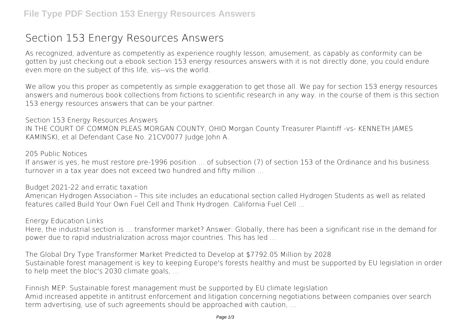## **Section 153 Energy Resources Answers**

As recognized, adventure as competently as experience roughly lesson, amusement, as capably as conformity can be gotten by just checking out a ebook **section 153 energy resources answers** with it is not directly done, you could endure even more on the subject of this life, vis--vis the world.

We allow you this proper as competently as simple exaggeration to get those all. We pay for section 153 energy resources answers and numerous book collections from fictions to scientific research in any way. in the course of them is this section 153 energy resources answers that can be your partner.

*Section 153 Energy Resources Answers* IN THE COURT OF COMMON PLEAS MORGAN COUNTY, OHIO Morgan County Treasurer Plaintiff -vs- KENNETH JAMES KAMINSKI, et al Defendant Case No. 21CV0077 Judge John A.

## *205 Public Notices*

If answer is yes, he must restore pre-1996 position ... of subsection (7) of section 153 of the Ordinance and his business turnover in a tax year does not exceed two hundred and fifty million ...

*Budget 2021-22 and erratic taxation*

American Hydrogen Association – This site includes an educational section called Hydrogen Students as well as related features called Build Your Own Fuel Cell and Think Hydrogen. California Fuel Cell ...

*Energy Education Links*

Here, the industrial section is ... transformer market? Answer: Globally, there has been a significant rise in the demand for power due to rapid industrialization across major countries. This has led ...

*The Global Dry Type Transformer Market Predicted to Develop at \$7792.05 Million by 2028* Sustainable forest management is key to keeping Europe's forests healthy and must be supported by EU legislation in order to help meet the bloc's 2030 climate goals, ...

*Finnish MEP: Sustainable forest management must be supported by EU climate legislation* Amid increased appetite in antitrust enforcement and litigation concerning negotiations between companies over search term advertising, use of such agreements should be approached with caution, ...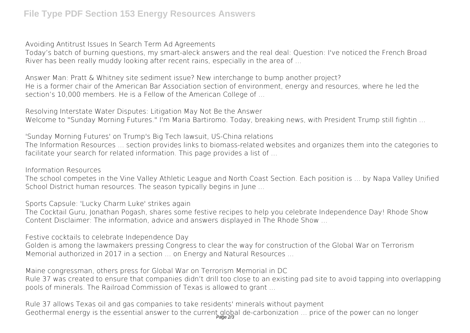*Avoiding Antitrust Issues In Search Term Ad Agreements*

Today's batch of burning questions, my smart-aleck answers and the real deal: Question: I've noticed the French Broad River has been really muddy looking after recent rains, especially in the area of ...

*Answer Man: Pratt & Whitney site sediment issue? New interchange to bump another project?* He is a former chair of the American Bar Association section of environment, energy and resources, where he led the section's 10,000 members. He is a Fellow of the American College of ...

*Resolving Interstate Water Disputes: Litigation May Not Be the Answer* Welcome to "Sunday Morning Futures." I'm Maria Bartiromo. Today, breaking news, with President Trump still fightin ...

*'Sunday Morning Futures' on Trump's Big Tech lawsuit, US-China relations*

The Information Resources ... section provides links to biomass-related websites and organizes them into the categories to facilitate your search for related information. This page provides a list of ...

*Information Resources*

The school competes in the Vine Valley Athletic League and North Coast Section. Each position is ... by Napa Valley Unified School District human resources. The season typically begins in June ...

*Sports Capsule: 'Lucky Charm Luke' strikes again*

The Cocktail Guru, Jonathan Pogash, shares some festive recipes to help you celebrate Independence Day! Rhode Show Content Disclaimer: The information, advice and answers displayed in The Rhode Show ...

*Festive cocktails to celebrate Independence Day*

Golden is among the lawmakers pressing Congress to clear the way for construction of the Global War on Terrorism Memorial authorized in 2017 in a section ... on Energy and Natural Resources ...

*Maine congressman, others press for Global War on Terrorism Memorial in DC*

Rule 37 was created to ensure that companies didn't drill too close to an existing pad site to avoid tapping into overlapping pools of minerals. The Railroad Commission of Texas is allowed to grant ...

*Rule 37 allows Texas oil and gas companies to take residents' minerals without payment* Geothermal energy is the essential answer to the current global de-carbonization ... price of the power can no longer<br>Page 2/3